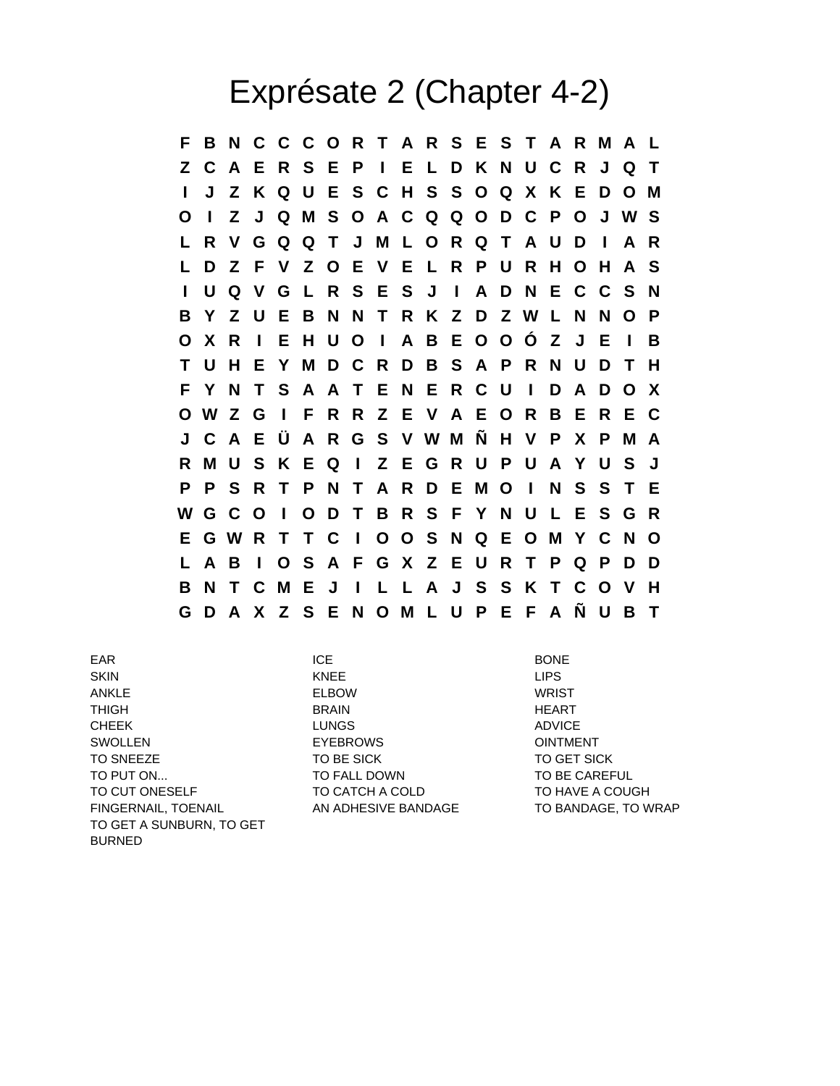## Exprésate 2 (Chapter 4-2)

**F B N C C C O R T A R S E S T A R M A L Z C A E R S E P I E L D K N U C R J Q T I J Z K Q U E S C H S S O Q X K E D O M O I Z J Q M S O A C Q Q O D C P O J W S L R V G Q Q T J M L O R Q T A U D I A R L D Z F V Z O E V E L R P U R H O H A S I U Q V G L R S E S J I A D N E C C S N B Y Z U E B N N T R K Z D Z W L N N O P O X R I E H U O I A B E O O Ó Z J E I B T U H E Y M D C R D B S A P R N U D T H F Y N T S A A T E N E R C U I D A D O X O W Z G I F R R Z E V A E O R B E R E C J C A E Ü A R G S V W M Ñ H V P X P M A R M U S K E Q I Z E G R U P U A Y U S J P P S R T P N T A R D E M O I N S S T E W G C O I O D T B R S F Y N U L E S G R E G W R T T C I O O S N Q E O M Y C N O L A B I O S A F G X Z E U R T P Q P D D B N T C M E J I L L A J S S K T C O V H G D A X Z S E N O M L U P E F A Ñ U B T**

EAR ICE BONE SKIN KNEE LIPS ANKLE ELBOW WRIST THIGH BRAIN HEART CHEEK LUNGS ADVICE SWOLLEN **EYEBROWS EXERCITY EXERCISE CONTRACT** TO SNEEZE TO BE SICK TO BE SICK TO GET SICK TO PUT ON... TO FALL DOWN TO BE CAREFUL TO CUT ONESELF TO CATCH A COLD TO HAVE A COUGH FINGERNAIL, TOENAIL AN ADHESIVE BANDAGE TO BANDAGE, TO WRAP TO GET A SUNBURN, TO GET BURNED